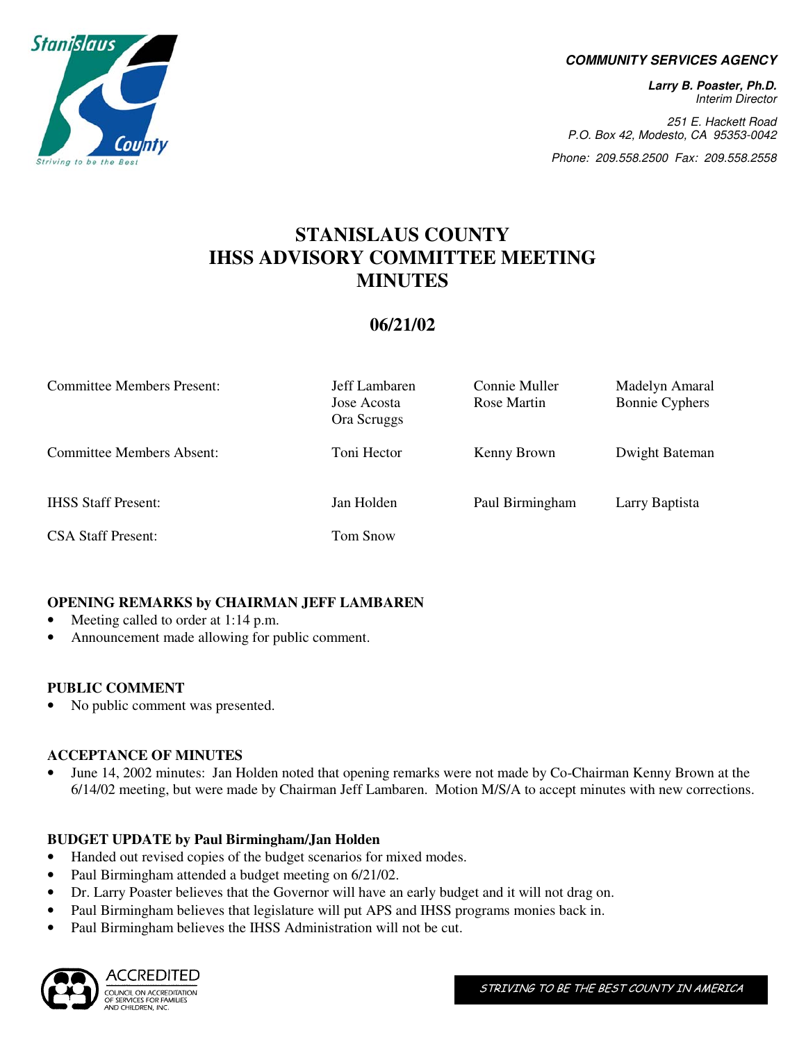

#### **COMMUNITY SERVICES AGENCY**

**Larry B. Poaster, Ph.D.**  Interim Director

251 E. Hackett Road P.O. Box 42, Modesto, CA 95353-0042

Phone: 209.558.2500 Fax: 209.558.2558

# **STANISLAUS COUNTY IHSS ADVISORY COMMITTEE MEETING MINUTES**

## **06/21/02**

| <b>Committee Members Present:</b> | Jeff Lambaren<br>Jose Acosta<br>Ora Scruggs | Connie Muller<br>Rose Martin | Madelyn Amaral<br><b>Bonnie Cyphers</b> |
|-----------------------------------|---------------------------------------------|------------------------------|-----------------------------------------|
| <b>Committee Members Absent:</b>  | Toni Hector                                 | Kenny Brown                  | Dwight Bateman                          |
| <b>IHSS Staff Present:</b>        | Jan Holden                                  | Paul Birmingham              | Larry Baptista                          |
| <b>CSA Staff Present:</b>         | Tom Snow                                    |                              |                                         |

#### **OPENING REMARKS by CHAIRMAN JEFF LAMBAREN**

- Meeting called to order at 1:14 p.m.
- Announcement made allowing for public comment.

#### **PUBLIC COMMENT**

• No public comment was presented.

#### **ACCEPTANCE OF MINUTES**

• June 14, 2002 minutes: Jan Holden noted that opening remarks were not made by Co-Chairman Kenny Brown at the 6/14/02 meeting, but were made by Chairman Jeff Lambaren. Motion M/S/A to accept minutes with new corrections.

#### **BUDGET UPDATE by Paul Birmingham/Jan Holden**

- Handed out revised copies of the budget scenarios for mixed modes.
- Paul Birmingham attended a budget meeting on  $6/21/02$ .
- Dr. Larry Poaster believes that the Governor will have an early budget and it will not drag on.
- Paul Birmingham believes that legislature will put APS and IHSS programs monies back in.
- Paul Birmingham believes the IHSS Administration will not be cut.

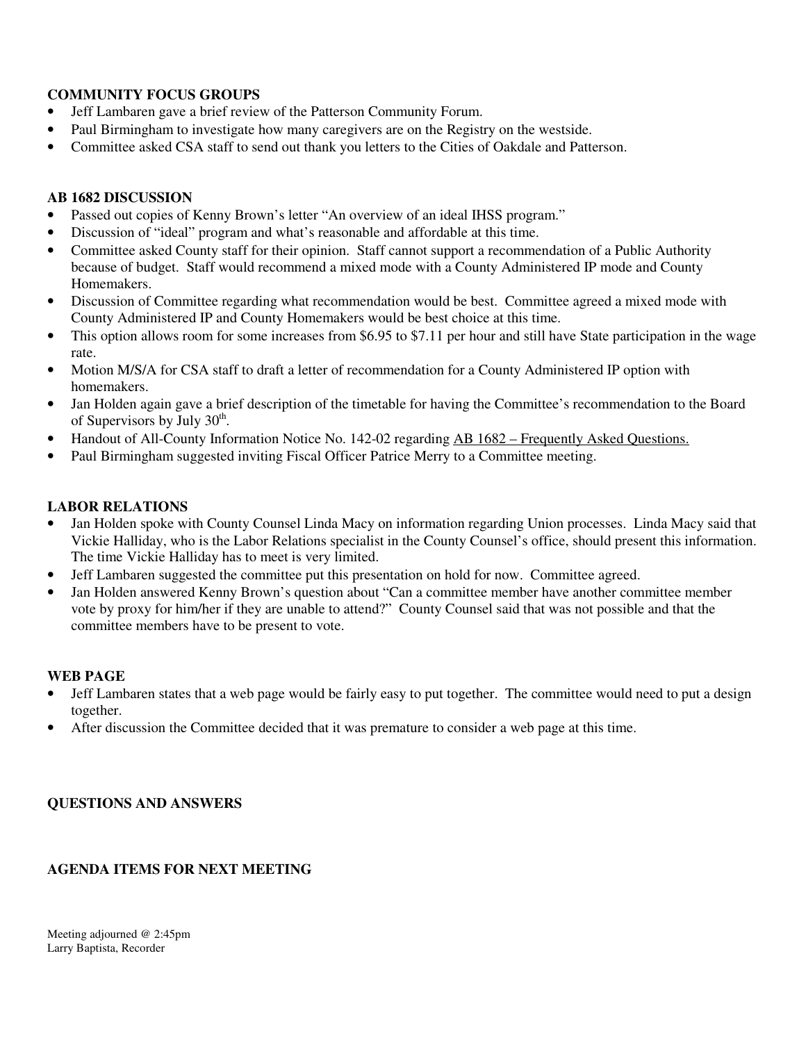#### **COMMUNITY FOCUS GROUPS**

- Jeff Lambaren gave a brief review of the Patterson Community Forum.
- Paul Birmingham to investigate how many caregivers are on the Registry on the westside.
- Committee asked CSA staff to send out thank you letters to the Cities of Oakdale and Patterson.

#### **AB 1682 DISCUSSION**

- Passed out copies of Kenny Brown's letter "An overview of an ideal IHSS program."
- Discussion of "ideal" program and what's reasonable and affordable at this time.
- Committee asked County staff for their opinion. Staff cannot support a recommendation of a Public Authority because of budget. Staff would recommend a mixed mode with a County Administered IP mode and County Homemakers.
- Discussion of Committee regarding what recommendation would be best. Committee agreed a mixed mode with County Administered IP and County Homemakers would be best choice at this time.
- This option allows room for some increases from \$6.95 to \$7.11 per hour and still have State participation in the wage rate.
- Motion M/S/A for CSA staff to draft a letter of recommendation for a County Administered IP option with homemakers.
- Jan Holden again gave a brief description of the timetable for having the Committee's recommendation to the Board of Supervisors by July  $30<sup>th</sup>$ .
- Handout of All-County Information Notice No. 142-02 regarding AB 1682 Frequently Asked Questions.
- Paul Birmingham suggested inviting Fiscal Officer Patrice Merry to a Committee meeting.

#### **LABOR RELATIONS**

- Jan Holden spoke with County Counsel Linda Macy on information regarding Union processes. Linda Macy said that Vickie Halliday, who is the Labor Relations specialist in the County Counsel's office, should present this information. The time Vickie Halliday has to meet is very limited.
- Jeff Lambaren suggested the committee put this presentation on hold for now. Committee agreed.
- Jan Holden answered Kenny Brown's question about "Can a committee member have another committee member vote by proxy for him/her if they are unable to attend?" County Counsel said that was not possible and that the committee members have to be present to vote.

#### **WEB PAGE**

- Jeff Lambaren states that a web page would be fairly easy to put together. The committee would need to put a design together.
- After discussion the Committee decided that it was premature to consider a web page at this time.

#### **QUESTIONS AND ANSWERS**

#### **AGENDA ITEMS FOR NEXT MEETING**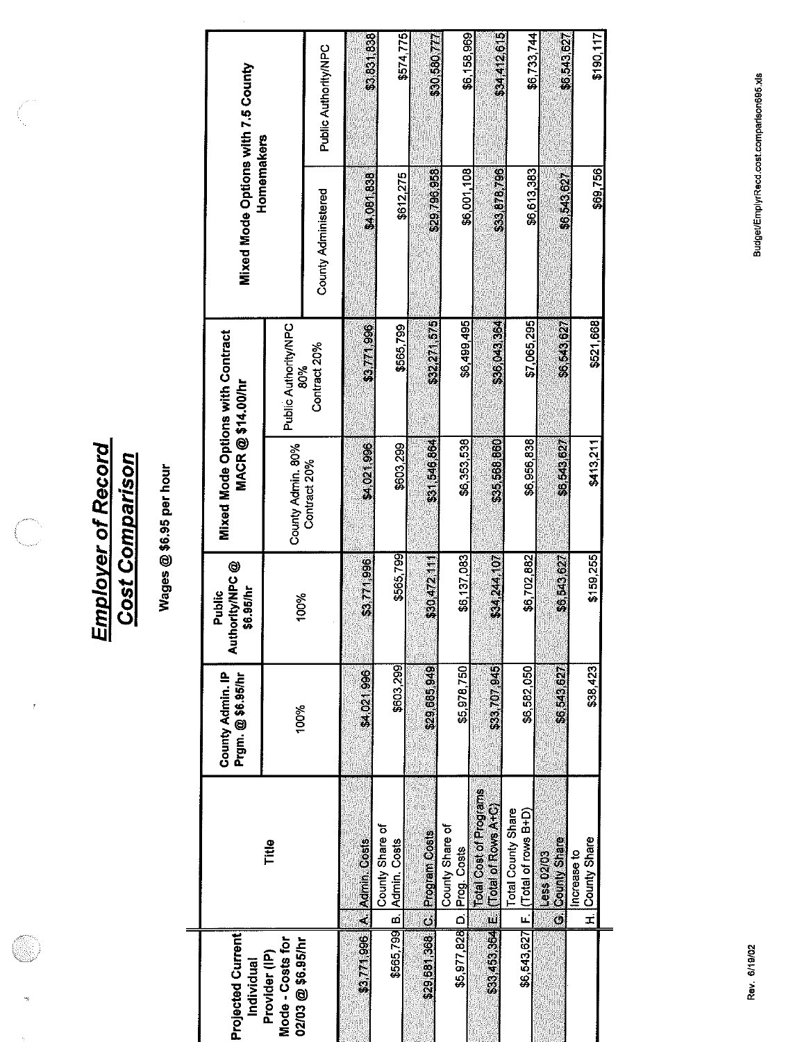**Employer of Record<br>Cost Comparison** 

 $\bar{t}$ 

Wages @ \$6.95 per hour

| <b>Projected Current</b><br>Individual                 |                                                                    | Prgm. @\$6.95/hr<br>County Admin. IP | Authority/NPC @<br>\$6.95/hr<br><b>alphic</b> |                   | <b>Mixed Mode Options with Contract</b><br>MACR@\$14.00/hr | Mixed Mode Options with 7.5 County<br>Homemakers |                             |
|--------------------------------------------------------|--------------------------------------------------------------------|--------------------------------------|-----------------------------------------------|-------------------|------------------------------------------------------------|--------------------------------------------------|-----------------------------|
| Mode - Costs for<br>02/03 @ \$6.95/hr<br>Provider (IP) | Title                                                              | 100%                                 | 100%                                          | County Admin. 80% | Public Authority/NPC                                       |                                                  |                             |
|                                                        |                                                                    |                                      |                                               | Contract 20%      | Contract 20%<br>80%                                        | County Administered                              | Public Authority/NPC        |
| \$3,771,996                                            | A. Admin. Costs                                                    | \$4,021,996                          | \$3,771,996                                   | \$4,021,996       | \$3,771,996                                                | \$4,081.838                                      | \$3,831,838                 |
| \$565,799                                              | County Share of<br>B. Admin. Costs                                 | \$603,299                            | \$565,799                                     | \$603,299         | \$565,799                                                  | \$612,275                                        | \$574,775                   |
|                                                        | \$29.681.368 C Program Costs                                       | \$29,685,949                         | \$30,472.11                                   | \$31,546,864      | \$32,271,575                                               |                                                  |                             |
|                                                        | County Share of<br>\$5,977,828 D. Prog. Costs                      | \$5,978,750                          | \$6,137,083                                   | \$6,353,538       | \$6,499,495                                                | \$29,796,958<br>\$6,001,108                      | \$6,158,969<br>\$30,580,777 |
|                                                        | Total Cost of Programs<br>\$83,453,864 E (Total of Rows A+C)       | \$83,707,945                         | \$34,244,107                                  | \$35,568,860      | \$36,043,364                                               | \$33,878,796                                     | \$34,412,615                |
| \$6,543,627                                            | <b>Total County Share</b><br>(Total of rows B+D)<br>$\overline{u}$ | \$6,582,050                          | \$6,702,882                                   | \$6,956,838       | \$7,065,295                                                | \$6,613,383                                      | \$6,733,744                 |
|                                                        | G. County Share<br>Less 02/03                                      | \$6,543,627                          | \$6,543,627                                   | \$6,543,627       | \$6,543,627                                                | \$6,543,627                                      | \$6,543,627                 |
|                                                        | H. County Share<br>Increase to                                     | \$38,423                             | \$159,255                                     | \$413,211         | \$521,668                                                  | \$69,756                                         | \$190,117                   |
|                                                        |                                                                    |                                      |                                               |                   |                                                            |                                                  |                             |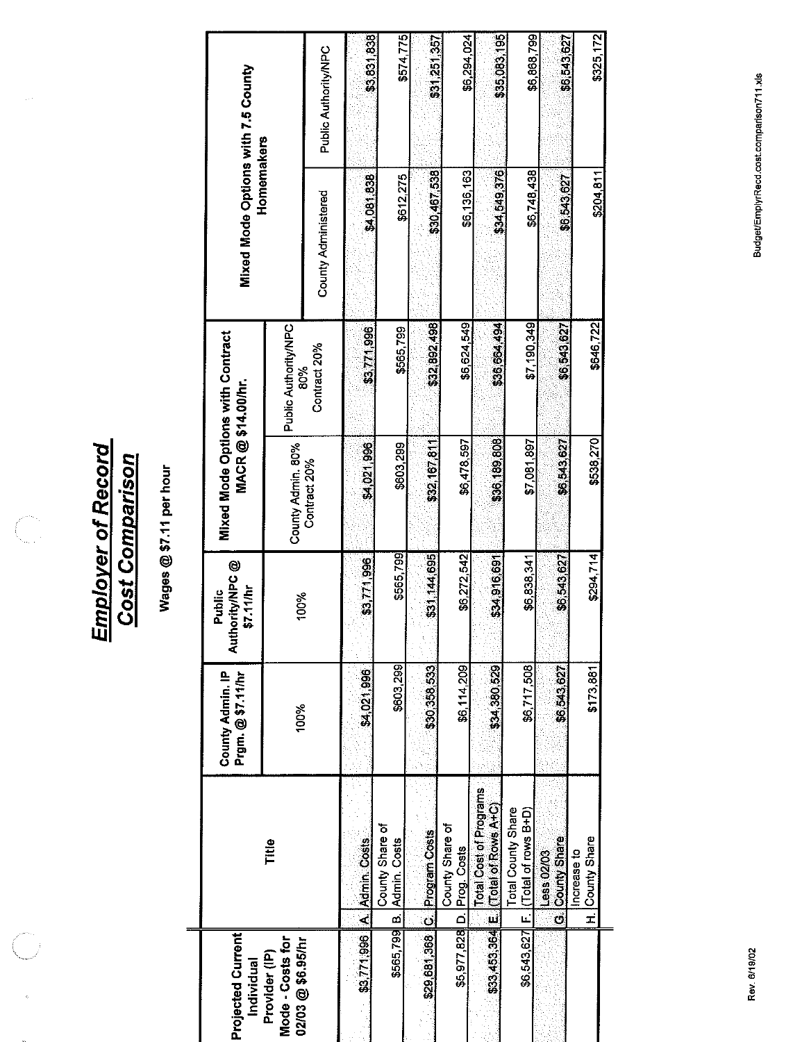**Employer of Record<br>Cost Comparison** 

Wages @ \$7.11 per hour

| <b>Projected Current</b><br>Individual |                                                              | Prgm. @ \$7.11/hr<br>County Admin. IP | thority/NPC @<br>\$7.11/hr<br>Public<br>ă | Mixed Mode Options with Contract<br>MACR@\$14.00/hr |                      | Mixed Mode Options with 7.5 County<br>Homemakers |                      |
|----------------------------------------|--------------------------------------------------------------|---------------------------------------|-------------------------------------------|-----------------------------------------------------|----------------------|--------------------------------------------------|----------------------|
| Mode - Costs for<br>Provider (IP)      | Title                                                        | 100%                                  | 100%                                      | County Admin. 80%                                   | Public Authority/NPC |                                                  |                      |
| 02/03 @ \$6.95/hr                      |                                                              |                                       |                                           | Contract 20%                                        | Contract 20%<br>80%  | <b>County Administered</b>                       | Public Authority/NPC |
| \$3,771,996                            | A. Admin. Costs                                              | \$4,021,996                           | \$3,771,996                               | \$4,021,996                                         | \$3,771,996          | \$4,081,838                                      | \$3,831,838          |
|                                        | County Share of<br>\$565,799 B. Admin. Costs                 | \$603,299                             | \$565,799                                 | \$603,299                                           | \$565,799            | \$612,275                                        | \$574,775            |
|                                        | \$29,681,368 C. Program Costs                                | \$30,358,533                          | \$31,144,695                              | \$32,167,811                                        | \$32,892,498         | \$30,467,538                                     | \$31,251,357         |
|                                        | County Share of<br>\$5,977,828 D. Prog. Costs                | \$6,114,209                           | \$6,272,542                               | \$6,478,597                                         | \$6,624,549          | \$6,136,163                                      | \$6,294,024          |
|                                        | Total Cost of Programs<br>\$33,453,364 E (Total of Rows A+C) | \$34,380,529                          | \$34,916,691                              | \$36,189,808                                        | \$36,664,494         | \$34,549,376                                     | \$35,083,195         |
|                                        | Total County Share<br>\$6,543,627 F. (Total of rows B+D)     | \$6,717,508                           | \$6,838,341                               | \$7,081,897                                         | \$7,190,349          | \$6,748,438                                      | \$6,868,799          |
|                                        | G. County Share<br>ess 02/03                                 | \$6,543,627                           | \$6,543,627                               | \$6,543,627                                         | \$6,543,627          | \$6,543,627                                      | \$6,543,627          |
|                                        | H. County Share<br>Increase to                               | \$173,881                             | \$294,714                                 | \$538,270                                           | \$646722             | \$204,811                                        | \$325,172            |
|                                        |                                                              |                                       |                                           |                                                     |                      |                                                  |                      |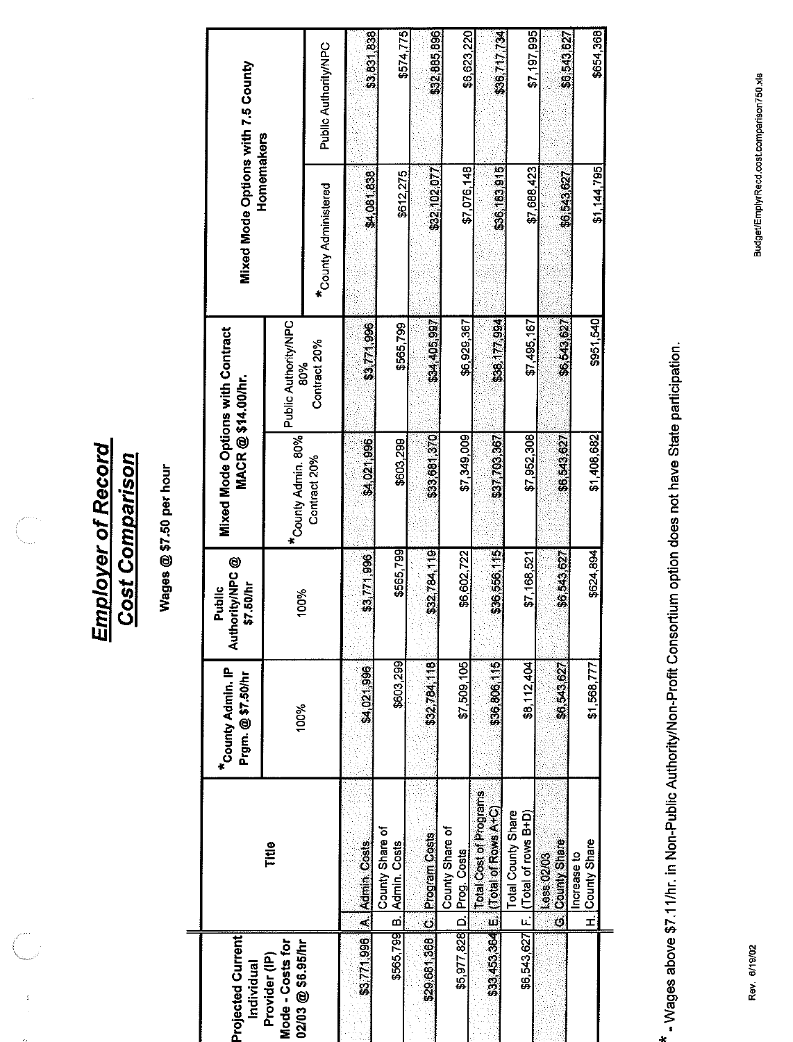**Employer of Record<br>Cost Comparison** 

 $\overline{C}$ 

 $\begin{bmatrix} 0 \\ 0 \\ 0 \end{bmatrix}$ 

Wages @ \$7.50 per hour

 $\qquad \qquad =\qquad$ 

| Projected Current<br>Individual                        |                                                              | *County Admin. IP<br>Prgm.@\$7.50/hr | hority/NPC @<br>\$7.50/hr<br>Public<br><b>Jul</b> | <b>Mixed Mode Options with Contract</b><br>MACR@\$14.00/hr. |                             | Mixed Mode Options with 7.5 County<br>Homemakers |                      |
|--------------------------------------------------------|--------------------------------------------------------------|--------------------------------------|---------------------------------------------------|-------------------------------------------------------------|-----------------------------|--------------------------------------------------|----------------------|
| Mode - Costs for<br>02/03 @ \$6.95/hr<br>Provider (IP) | Title                                                        | 100%                                 | 100%                                              | *County Admin. 80%                                          | Public Authority/NPC<br>80% |                                                  |                      |
|                                                        |                                                              |                                      |                                                   | Contract 20%                                                | Contract 20%                | <b>*County Administered</b>                      | Public Authority/NPC |
|                                                        | \$3.771,996 A. Admin. Costs                                  | \$4,021,996                          | \$3,771,996                                       | \$4,021,996                                                 | \$3,771,996                 | \$4,081,838                                      | \$3,831,838          |
| \$565,799                                              | County Share of<br>B. Admin. Costs                           | \$603,299                            | \$565,799                                         | \$603,299                                                   | \$565799                    | \$612,275                                        | \$574,775            |
|                                                        | \$29,681,368 C. Program Costs                                | \$32,784,118                         | \$32,784,119                                      | \$33,681,370                                                | \$34,405,997                | \$32,102,077                                     | \$32,885,896         |
|                                                        | County Share of<br>\$5,977,828 D. Prog. Costs                | \$7,509,105                          | \$6,602,722                                       | \$7,349,009                                                 | \$6,929,367                 | \$7,076,148                                      | \$6,623,220          |
|                                                        | Total Cost of Programs<br>\$33,453,364 E (Total of Rows A+C) | \$36,806,115                         | \$36,556,115                                      | \$37,703,367                                                | \$38,177,994                | \$36,183,915                                     | \$36,717,734         |
| \$6,543,627                                            | Total County Share<br>F. (Total of rows B+D)                 | \$8,112,404                          | \$7,168,521                                       | \$7,952,308                                                 | \$7,495,167                 | \$7,688,423                                      | \$7 197 995          |
|                                                        | G. County Share<br>Less 02/03                                | \$6,543,627                          | \$6,543,627                                       | \$6,543,627                                                 | \$6,543,627                 | \$6,543,627                                      | \$6,543,627          |
|                                                        | H. County Share<br>Increase to                               | \$1,568,777                          | \$624,894                                         | \$1408682                                                   | \$951,540                   | \$1,144,795                                      | \$654,368            |
|                                                        |                                                              |                                      |                                                   |                                                             |                             |                                                  |                      |

\* - Wages above \$7.11/hr. in Non-Public Authority/Non-Profit Consortium option does not have State participation.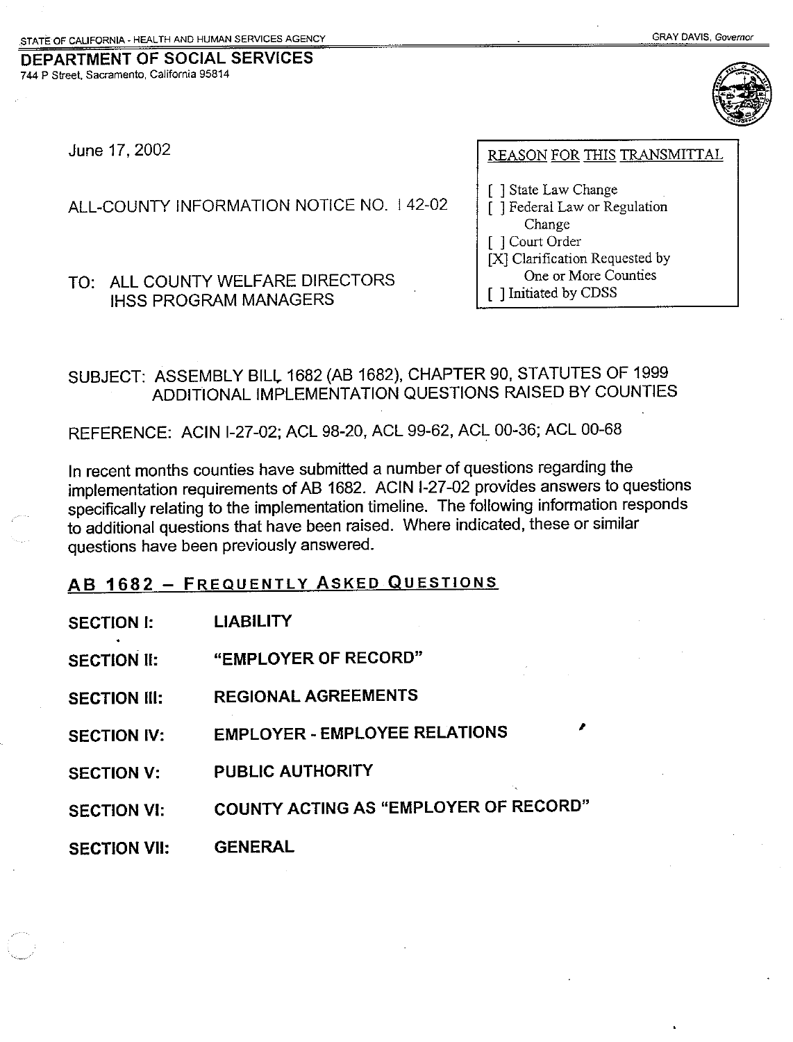DEPARTMENT OF SOCIAL SERVICES 744 P Street, Sacramento, California 95814



June 17, 2002

ALL-COUNTY INFORMATION NOTICE NO. 142-02

TO: ALL COUNTY WELFARE DIRECTORS **IHSS PROGRAM MANAGERS** 

REASON FOR THIS TRANSMITTAL

[ ] State Law Change [ ] Federal Law or Regulation Change [ ] Court Order [X] Clarification Requested by One or More Counties [ ] Initiated by CDSS

SUBJECT: ASSEMBLY BILL 1682 (AB 1682), CHAPTER 90, STATUTES OF 1999 ADDITIONAL IMPLEMENTATION QUESTIONS RAISED BY COUNTIES

REFERENCE: ACIN I-27-02; ACL 98-20, ACL 99-62, ACL 00-36; ACL 00-68

In recent months counties have submitted a number of questions regarding the implementation requirements of AB 1682. ACIN I-27-02 provides answers to questions specifically relating to the implementation timeline. The following information responds to additional questions that have been raised. Where indicated, these or similar questions have been previously answered.

## AB 1682 - FREQUENTLY ASKED QUESTIONS

| <b>SECTION I:</b>   | <b>LIABILITY</b>                      |
|---------------------|---------------------------------------|
| <b>SECTION II:</b>  | "EMPLOYER OF RECORD"                  |
| <b>SECTION III:</b> | <b>REGIONAL AGREEMENTS</b>            |
| <b>SECTION IV:</b>  | <b>EMPLOYER - EMPLOYEE RELATIONS</b>  |
| <b>SECTION V:</b>   | <b>PUBLIC AUTHORITY</b>               |
| <b>SECTION VI:</b>  | COUNTY ACTING AS "EMPLOYER OF RECORD" |
| <b>SECTION VII:</b> | <b>GENERAL</b>                        |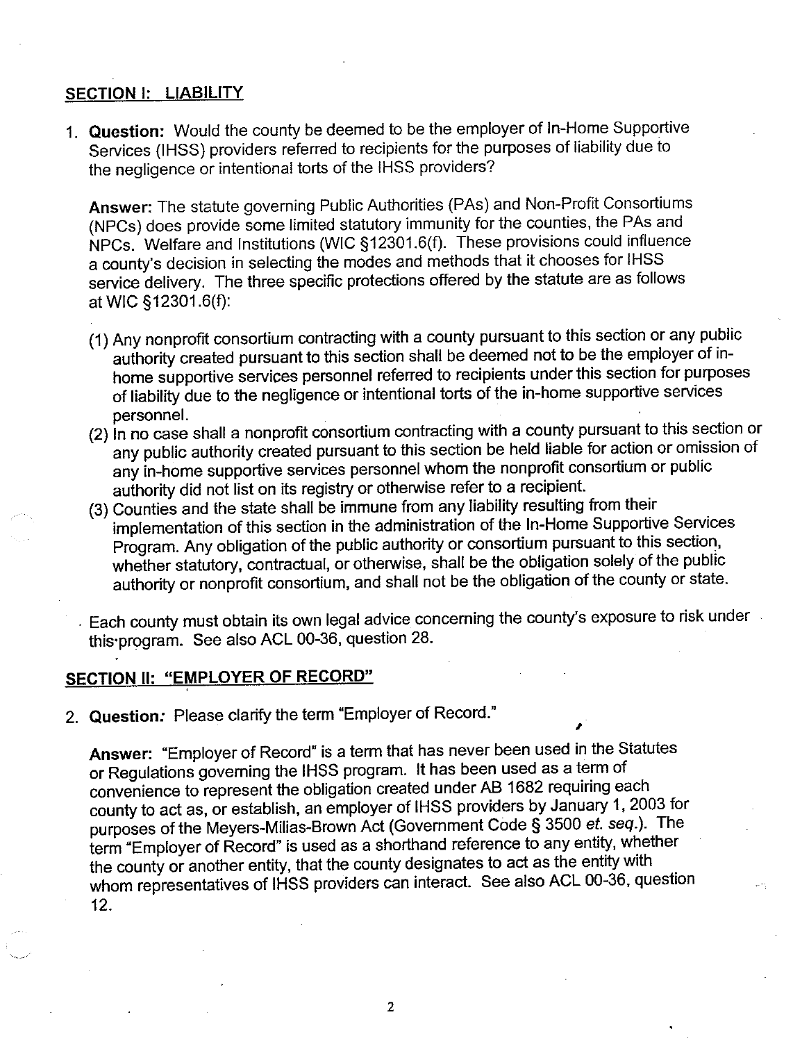### SECTION I: LIABILITY

1. Question: Would the county be deemed to be the employer of In-Home Supportive Services (IHSS) providers referred to recipients for the purposes of liability due to the negligence or intentional torts of the IHSS providers?

Answer: The statute governing Public Authorities (PAs) and Non-Profit Consortiums (NPCs) does provide some limited statutory immunity for the counties, the PAs and NPCs. Welfare and Institutions (WIC §12301.6(f). These provisions could influence a county's decision in selecting the modes and methods that it chooses for IHSS service delivery. The three specific protections offered by the statute are as follows at WIC §12301.6(f):

- (1) Any nonprofit consortium contracting with a county pursuant to this section or any public authority created pursuant to this section shall be deemed not to be the employer of inhome supportive services personnel referred to recipients under this section for purposes of liability due to the negligence or intentional torts of the in-home supportive services personnel.
- (2) In no case shall a nonprofit consortium contracting with a county pursuant to this section or any public authority created pursuant to this section be held liable for action or omission of any in-home supportive services personnel whom the nonprofit consortium or public authority did not list on its registry or otherwise refer to a recipient.
- (3) Counties and the state shall be immune from any liability resulting from their implementation of this section in the administration of the In-Home Supportive Services Program. Any obligation of the public authority or consortium pursuant to this section, whether statutory, contractual, or otherwise, shall be the obligation solely of the public authority or nonprofit consortium, and shall not be the obligation of the county or state.
- Each county must obtain its own legal advice concerning the county's exposure to risk under this program. See also ACL 00-36, question 28.

#### SECTION II: "EMPLOYER OF RECORD"

2. Question: Please clarify the term "Employer of Record."

Answer: "Employer of Record" is a term that has never been used in the Statutes or Regulations governing the IHSS program. It has been used as a term of convenience to represent the obligation created under AB 1682 requiring each county to act as, or establish, an employer of IHSS providers by January 1, 2003 for purposes of the Meyers-Milias-Brown Act (Government Code § 3500 et. seq.). The term "Employer of Record" is used as a shorthand reference to any entity, whether the county or another entity, that the county designates to act as the entity with whom representatives of IHSS providers can interact. See also ACL 00-36, question  $12<sub>1</sub>$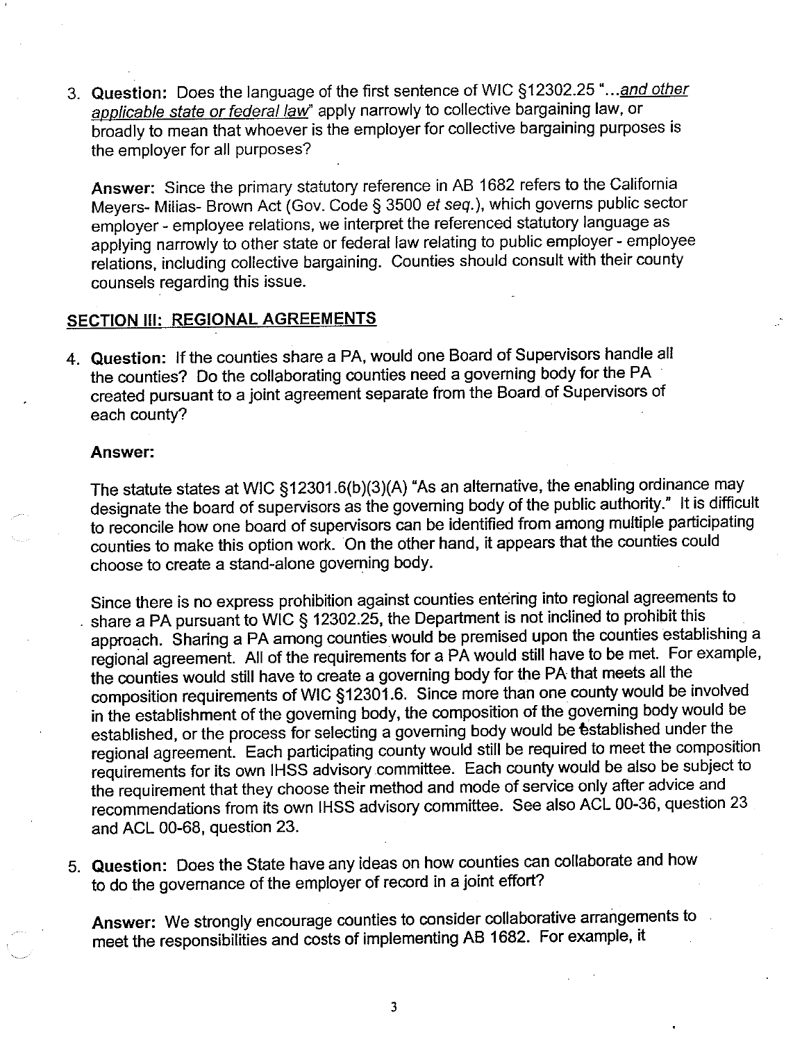3. Question: Does the language of the first sentence of WIC §12302.25 "...and other applicable state or federal law" apply narrowly to collective bargaining law, or broadly to mean that whoever is the employer for collective bargaining purposes is the employer for all purposes?

Answer: Since the primary statutory reference in AB 1682 refers to the California Meyers- Milias- Brown Act (Gov. Code § 3500 et seq.), which governs public sector employer - employee relations, we interpret the referenced statutory language as applying narrowly to other state or federal law relating to public employer - employee relations, including collective bargaining. Counties should consult with their county counsels regarding this issue.

### **SECTION III: REGIONAL AGREEMENTS**

4. Question: If the counties share a PA, would one Board of Supervisors handle all the counties? Do the collaborating counties need a governing body for the PA created pursuant to a joint agreement separate from the Board of Supervisors of each county?

#### Answer:

The statute states at WIC §12301.6(b)(3)(A) "As an alternative, the enabling ordinance may designate the board of supervisors as the governing body of the public authority." It is difficult to reconcile how one board of supervisors can be identified from among multiple participating counties to make this option work. On the other hand, it appears that the counties could choose to create a stand-alone governing body.

Since there is no express prohibition against counties entering into regional agreements to share a PA pursuant to WIC § 12302.25, the Department is not inclined to prohibit this approach. Sharing a PA among counties would be premised upon the counties establishing a regional agreement. All of the requirements for a PA would still have to be met. For example, the counties would still have to create a governing body for the PA that meets all the composition requirements of WIC §12301.6. Since more than one county would be involved in the establishment of the governing body, the composition of the governing body would be established, or the process for selecting a governing body would be established under the regional agreement. Each participating county would still be required to meet the composition requirements for its own IHSS advisory committee. Each county would be also be subject to the requirement that they choose their method and mode of service only after advice and recommendations from its own IHSS advisory committee. See also ACL 00-36, question 23 and ACL 00-68, question 23.

5. Question: Does the State have any ideas on how counties can collaborate and how to do the governance of the employer of record in a joint effort?

Answer: We strongly encourage counties to consider collaborative arrangements to meet the responsibilities and costs of implementing AB 1682. For example, it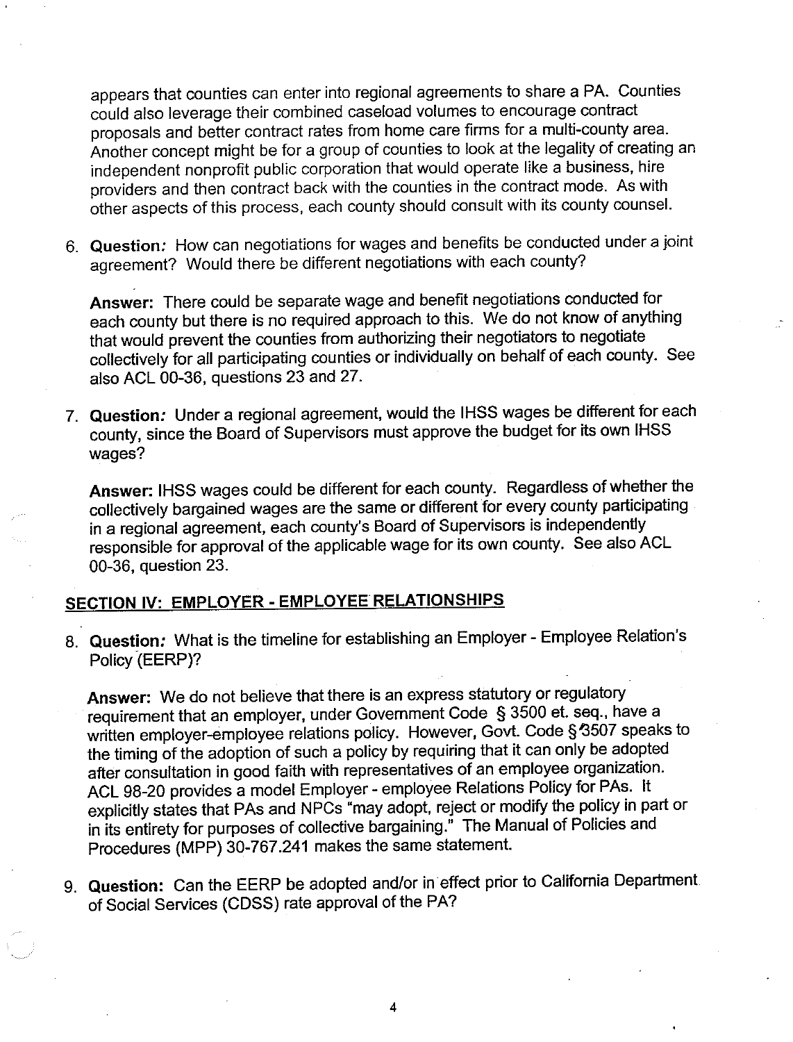appears that counties can enter into regional agreements to share a PA. Counties could also leverage their combined caseload volumes to encourage contract proposals and better contract rates from home care firms for a multi-county area. Another concept might be for a group of counties to look at the legality of creating an independent nonprofit public corporation that would operate like a business, hire providers and then contract back with the counties in the contract mode. As with other aspects of this process, each county should consult with its county counsel.

6. Question: How can negotiations for wages and benefits be conducted under a joint agreement? Would there be different negotiations with each county?

Answer: There could be separate wage and benefit negotiations conducted for each county but there is no required approach to this. We do not know of anything that would prevent the counties from authorizing their negotiators to negotiate collectively for all participating counties or individually on behalf of each county. See also ACL 00-36, questions 23 and 27.

7. Question: Under a regional agreement, would the IHSS wages be different for each county, since the Board of Supervisors must approve the budget for its own IHSS wages?

Answer: IHSS wages could be different for each county. Regardless of whether the collectively bargained wages are the same or different for every county participating in a regional agreement, each county's Board of Supervisors is independently responsible for approval of the applicable wage for its own county. See also ACL 00-36, question 23.

## SECTION IV: EMPLOYER - EMPLOYEE RELATIONSHIPS

8. Question: What is the timeline for establishing an Employer - Employee Relation's Policy (EERP)?

Answer: We do not believe that there is an express statutory or regulatory requirement that an employer, under Government Code § 3500 et. seq., have a written employer-employee relations policy. However, Govt. Code § 3507 speaks to the timing of the adoption of such a policy by requiring that it can only be adopted after consultation in good faith with representatives of an employee organization. ACL 98-20 provides a model Employer - employee Relations Policy for PAs. It explicitly states that PAs and NPCs "may adopt, reject or modify the policy in part or in its entirety for purposes of collective bargaining." The Manual of Policies and Procedures (MPP) 30-767.241 makes the same statement.

9. Question: Can the EERP be adopted and/or in effect prior to California Department. of Social Services (CDSS) rate approval of the PA?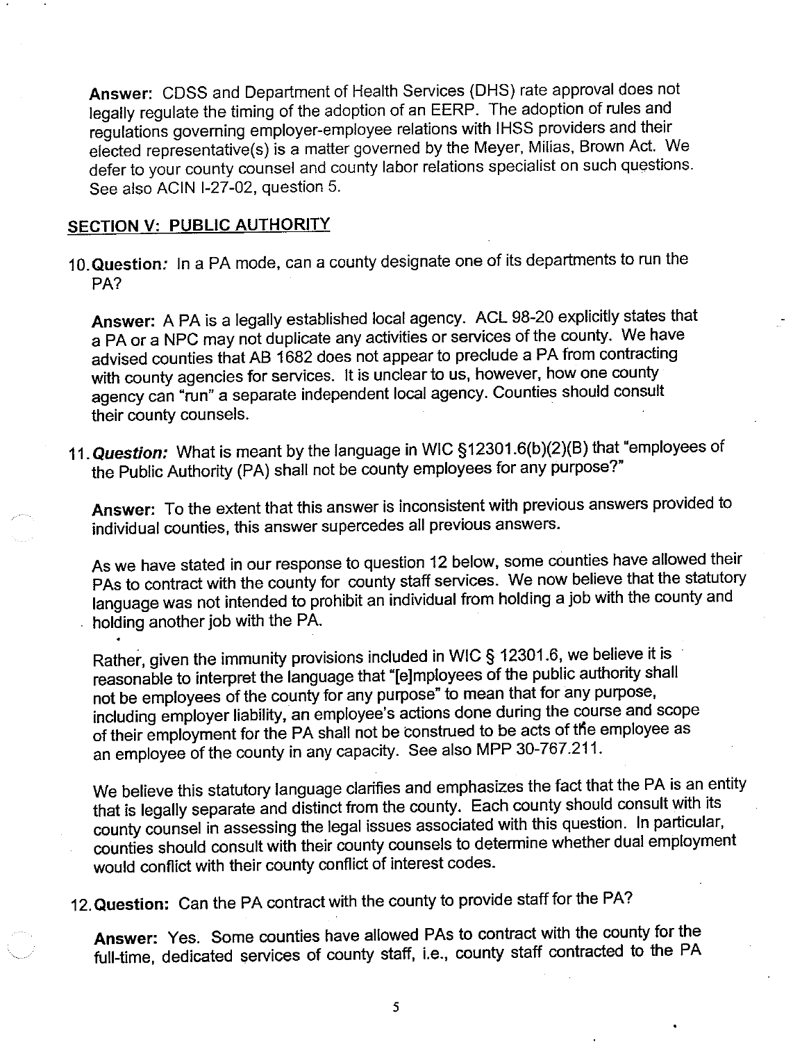Answer: CDSS and Department of Health Services (DHS) rate approval does not legally regulate the timing of the adoption of an EERP. The adoption of rules and regulations governing employer-employee relations with IHSS providers and their elected representative(s) is a matter governed by the Meyer, Milias, Brown Act. We defer to your county counsel and county labor relations specialist on such questions. See also ACIN I-27-02, question 5.

## **SECTION V: PUBLIC AUTHORITY**

10. Question: In a PA mode, can a county designate one of its departments to run the PA?

Answer: A PA is a legally established local agency. ACL 98-20 explicitly states that a PA or a NPC may not duplicate any activities or services of the county. We have advised counties that AB 1682 does not appear to preclude a PA from contracting with county agencies for services. It is unclear to us, however, how one county agency can "run" a separate independent local agency. Counties should consult their county counsels.

11. Question: What is meant by the language in WIC §12301.6(b)(2)(B) that "employees of the Public Authority (PA) shall not be county employees for any purpose?"

Answer: To the extent that this answer is inconsistent with previous answers provided to individual counties, this answer supercedes all previous answers.

As we have stated in our response to question 12 below, some counties have allowed their PAs to contract with the county for county staff services. We now believe that the statutory language was not intended to prohibit an individual from holding a job with the county and holding another job with the PA.

Rather, given the immunity provisions included in WIC § 12301.6, we believe it is reasonable to interpret the language that "[e]mployees of the public authority shall not be employees of the county for any purpose" to mean that for any purpose, including employer liability, an employee's actions done during the course and scope of their employment for the PA shall not be construed to be acts of the employee as an employee of the county in any capacity. See also MPP 30-767.211.

We believe this statutory language clarifies and emphasizes the fact that the PA is an entity that is legally separate and distinct from the county. Each county should consult with its county counsel in assessing the legal issues associated with this question. In particular, counties should consult with their county counsels to determine whether dual employment would conflict with their county conflict of interest codes.

12. Question: Can the PA contract with the county to provide staff for the PA?

Answer: Yes. Some counties have allowed PAs to contract with the county for the full-time, dedicated services of county staff, i.e., county staff contracted to the PA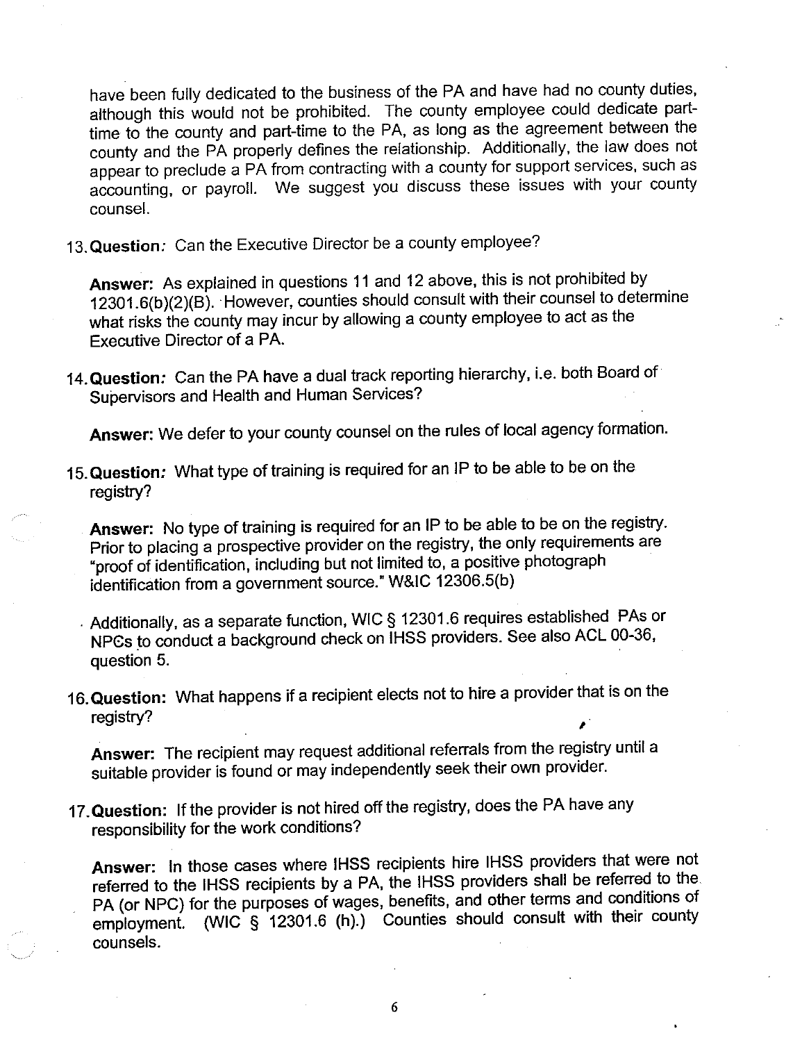have been fully dedicated to the business of the PA and have had no county duties, although this would not be prohibited. The county employee could dedicate parttime to the county and part-time to the PA, as long as the agreement between the county and the PA properly defines the relationship. Additionally, the law does not appear to preclude a PA from contracting with a county for support services, such as accounting, or payroll. We suggest you discuss these issues with your county counsel.

13. Question: Can the Executive Director be a county employee?

Answer: As explained in questions 11 and 12 above, this is not prohibited by 12301.6(b)(2)(B). However, counties should consult with their counsel to determine what risks the county may incur by allowing a county employee to act as the **Executive Director of a PA.** 

14. Question: Can the PA have a dual track reporting hierarchy, i.e. both Board of Supervisors and Health and Human Services?

Answer: We defer to your county counsel on the rules of local agency formation.

15. Question: What type of training is required for an IP to be able to be on the registry?

Answer: No type of training is required for an IP to be able to be on the registry. Prior to placing a prospective provider on the registry, the only requirements are "proof of identification, including but not limited to, a positive photograph identification from a government source." W&IC 12306.5(b)

Additionally, as a separate function, WIC § 12301.6 requires established PAs or NPCs to conduct a background check on IHSS providers. See also ACL 00-36, question 5.

16. Question: What happens if a recipient elects not to hire a provider that is on the registry?

Answer: The recipient may request additional referrals from the registry until a suitable provider is found or may independently seek their own provider.

17. Question: If the provider is not hired off the registry, does the PA have any responsibility for the work conditions?

Answer: In those cases where IHSS recipients hire IHSS providers that were not referred to the IHSS recipients by a PA, the IHSS providers shall be referred to the PA (or NPC) for the purposes of wages, benefits, and other terms and conditions of employment. (WIC § 12301.6 (h).) Counties should consult with their county counsels.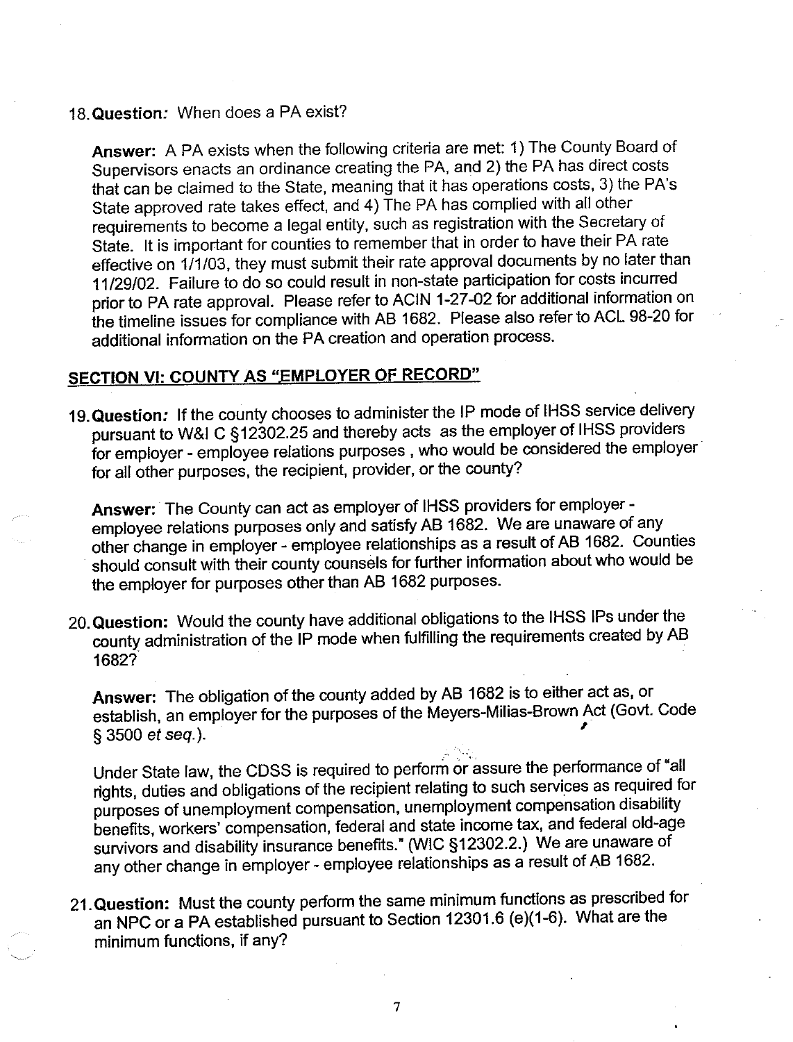#### 18. Question: When does a PA exist?

Answer: A PA exists when the following criteria are met: 1) The County Board of Supervisors enacts an ordinance creating the PA, and 2) the PA has direct costs that can be claimed to the State, meaning that it has operations costs, 3) the PA's State approved rate takes effect, and 4) The PA has complied with all other requirements to become a legal entity, such as registration with the Secretary of State. It is important for counties to remember that in order to have their PA rate effective on 1/1/03, they must submit their rate approval documents by no later than 11/29/02. Failure to do so could result in non-state participation for costs incurred prior to PA rate approval. Please refer to ACIN 1-27-02 for additional information on the timeline issues for compliance with AB 1682. Please also refer to ACL 98-20 for additional information on the PA creation and operation process.

## SECTION VI: COUNTY AS "EMPLOYER OF RECORD"

19. Question: If the county chooses to administer the IP mode of IHSS service delivery pursuant to W&I C §12302.25 and thereby acts as the employer of IHSS providers for employer - employee relations purposes, who would be considered the employer for all other purposes, the recipient, provider, or the county?

Answer: The County can act as employer of IHSS providers for employer employee relations purposes only and satisfy AB 1682. We are unaware of any other change in employer - employee relationships as a result of AB 1682. Counties should consult with their county counsels for further information about who would be the employer for purposes other than AB 1682 purposes.

20. Question: Would the county have additional obligations to the IHSS IPs under the county administration of the IP mode when fulfilling the requirements created by AB 1682?

Answer: The obligation of the county added by AB 1682 is to either act as, or establish, an employer for the purposes of the Meyers-Milias-Brown Act (Govt. Code § 3500 et seq.).

Under State law, the CDSS is required to perform or assure the performance of "all rights, duties and obligations of the recipient relating to such services as required for purposes of unemployment compensation, unemployment compensation disability benefits, workers' compensation, federal and state income tax, and federal old-age survivors and disability insurance benefits." (WIC §12302.2.) We are unaware of any other change in employer - employee relationships as a result of AB 1682.

21. Question: Must the county perform the same minimum functions as prescribed for an NPC or a PA established pursuant to Section 12301.6 (e)(1-6). What are the minimum functions, if any?

 $\overline{7}$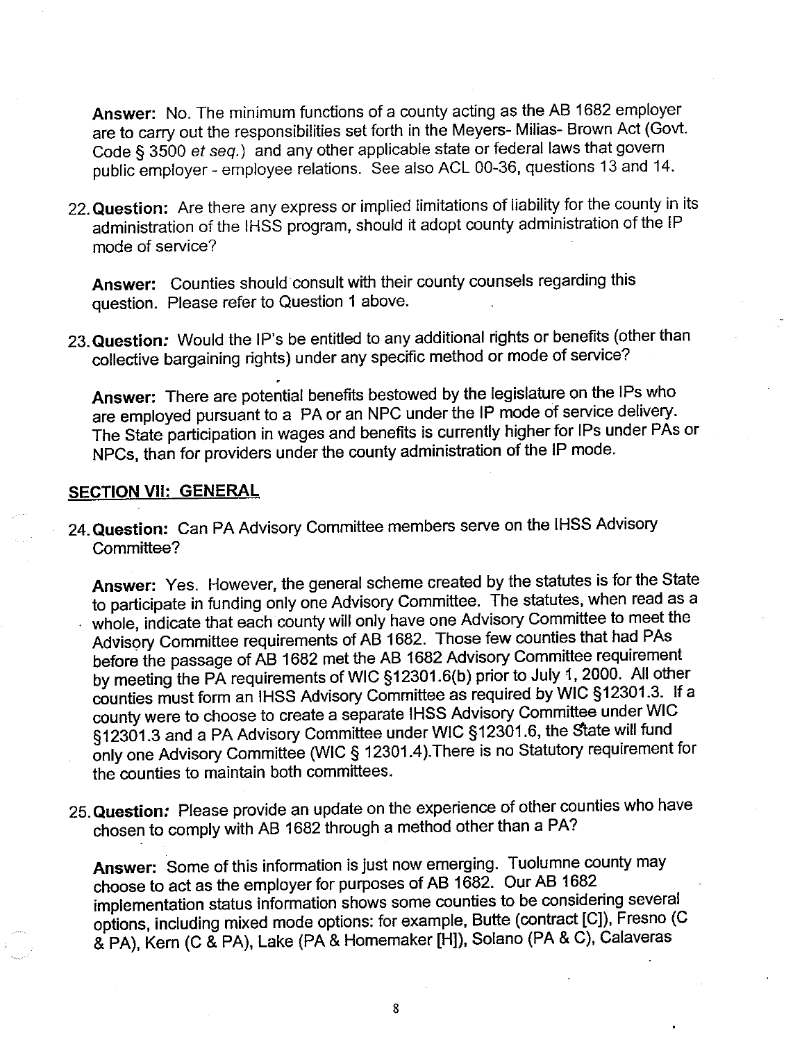Answer: No. The minimum functions of a county acting as the AB 1682 employer are to carry out the responsibilities set forth in the Meyers- Milias- Brown Act (Govt. Code § 3500 et seq.) and any other applicable state or federal laws that govern public employer - employee relations. See also ACL 00-36, questions 13 and 14.

22. Question: Are there any express or implied limitations of liability for the county in its administration of the IHSS program, should it adopt county administration of the IP mode of service?

Answer: Counties should consult with their county counsels regarding this question. Please refer to Question 1 above.

23. Question: Would the IP's be entitled to any additional rights or benefits (other than collective bargaining rights) under any specific method or mode of service?

Answer: There are potential benefits bestowed by the legislature on the IPs who are employed pursuant to a PA or an NPC under the IP mode of service delivery. The State participation in wages and benefits is currently higher for IPs under PAs or NPCs, than for providers under the county administration of the IP mode.

#### **SECTION VII: GENERAL**

24. Question: Can PA Advisory Committee members serve on the IHSS Advisory Committee?

Answer: Yes. However, the general scheme created by the statutes is for the State to participate in funding only one Advisory Committee. The statutes, when read as a whole, indicate that each county will only have one Advisory Committee to meet the Advisory Committee requirements of AB 1682. Those few counties that had PAs before the passage of AB 1682 met the AB 1682 Advisory Committee requirement by meeting the PA requirements of WIC §12301.6(b) prior to July 1, 2000. All other counties must form an IHSS Advisory Committee as required by WIC §12301.3. If a county were to choose to create a separate IHSS Advisory Committee under WIC §12301.3 and a PA Advisory Committee under WIC §12301.6, the State will fund only one Advisory Committee (WIC § 12301.4). There is no Statutory requirement for the counties to maintain both committees.

25. Question: Please provide an update on the experience of other counties who have chosen to comply with AB 1682 through a method other than a PA?

Answer: Some of this information is just now emerging. Tuolumne county may choose to act as the employer for purposes of AB 1682. Our AB 1682 implementation status information shows some counties to be considering several options, including mixed mode options: for example, Butte (contract [C]), Fresno (C & PA), Kern (C & PA), Lake (PA & Homemaker [H]), Solano (PA & C), Calaveras